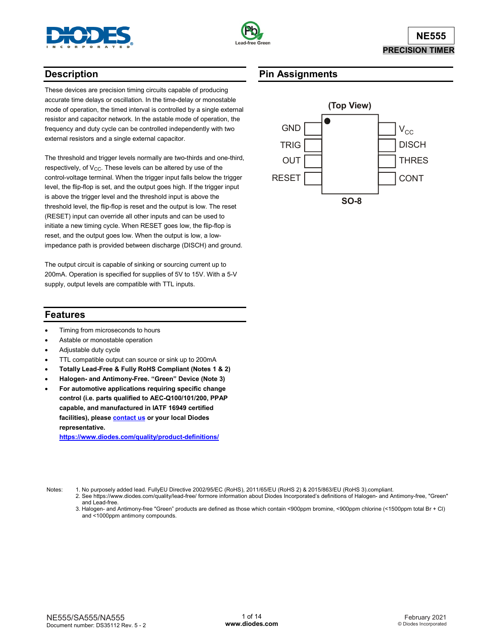



# **Description**

These devices are precision timing circuits capable of producing accurate time delays or oscillation. In the time-delay or monostable mode of operation, the timed interval is controlled by a single external resistor and capacitor network. In the astable mode of operation, the frequency and duty cycle can be controlled independently with two external resistors and a single external capacitor.

The threshold and trigger levels normally are two-thirds and one-third, respectively, of V<sub>CC</sub>. These levels can be altered by use of the control-voltage terminal. When the trigger input falls below the trigger level, the flip-flop is set, and the output goes high. If the trigger input is above the trigger level and the threshold input is above the threshold level, the flip-flop is reset and the output is low. The reset (RESET) input can override all other inputs and can be used to initiate a new timing cycle. When RESET goes low, the flip-flop is reset, and the output goes low. When the output is low, a lowimpedance path is provided between discharge (DISCH) and ground.

The output circuit is capable of sinking or sourcing current up to 200mA. Operation is specified for supplies of 5V to 15V. With a 5-V supply, output levels are compatible with TTL inputs.

# **Pin Assignments**



## **Features**

- Timing from microseconds to hours
- Astable or monostable operation
- Adjustable duty cycle
- TTL compatible output can source or sink up to 200mA
- **Totally Lead-Free & Fully RoHS Compliant (Notes 1 & 2)**
- **Halogen- and Antimony-Free. "Green" Device (Note 3)**
- **For automotive applications requiring specific change control (i.e. parts qualified to AEC-Q100/101/200, PPAP capable, and manufactured in IATF 16949 certified facilities), pleas[e contact us](https://www.diodes.com/about/contact-us/) or your local Diodes representative.**

**<https://www.diodes.com/quality/product-definitions/>**

- Notes: 1. No purposely added lead. FullyEU Directive 2002/95/EC (RoHS), 2011/65/EU (RoHS 2) & 2015/863/EU (RoHS 3).compliant.
	- 2. See https://www.diodes.com/quality/lead-free/ formore information about Diodes Incorporated's definitions of Halogen- and Antimony-free, "Green" and Lead-free.
	- 3. Halogen- and Antimony-free "Green" products are defined as those which contain <900ppm bromine, <900ppm chlorine (<1500ppm total Br + Cl) and <1000ppm antimony compounds.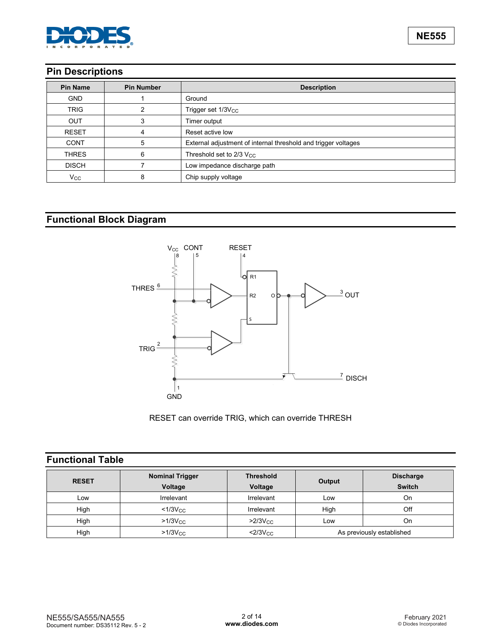

# **Pin Descriptions**

| <b>Pin Name</b> | <b>Pin Number</b> | <b>Description</b>                                             |  |
|-----------------|-------------------|----------------------------------------------------------------|--|
| <b>GND</b>      |                   | Ground                                                         |  |
| <b>TRIG</b>     | າ                 | Trigger set 1/3V <sub>CC</sub>                                 |  |
| <b>OUT</b>      | 3                 | Timer output                                                   |  |
| <b>RESET</b>    |                   | Reset active low                                               |  |
| <b>CONT</b>     | 5                 | External adjustment of internal threshold and trigger voltages |  |
| <b>THRES</b>    | 6                 | Threshold set to $2/3$ V <sub>CC</sub>                         |  |
| <b>DISCH</b>    |                   | Low impedance discharge path                                   |  |
| $V_{\rm CC}$    | 8                 | Chip supply voltage                                            |  |

# **Functional Block Diagram**



RESET can override TRIG, which can override THRESH

# **Functional Table**

| <b>RESET</b> | <b>Nominal Trigger</b><br>Voltage | <b>Threshold</b><br>Voltage | Output                    | <b>Discharge</b><br><b>Switch</b> |
|--------------|-----------------------------------|-----------------------------|---------------------------|-----------------------------------|
| Low          | Irrelevant                        | Irrelevant                  | Low                       | On                                |
| High         | $<$ 1/3 $V_{\rm CC}$              | Irrelevant                  | High                      | Off                               |
| High         | $>1/3$ V $cc$                     | $>2/3$ Vcc                  | Low                       | On                                |
| High         | $>1/3V_{\rm CC}$                  | $<$ 2/3 $V_{\rm CC}$        | As previously established |                                   |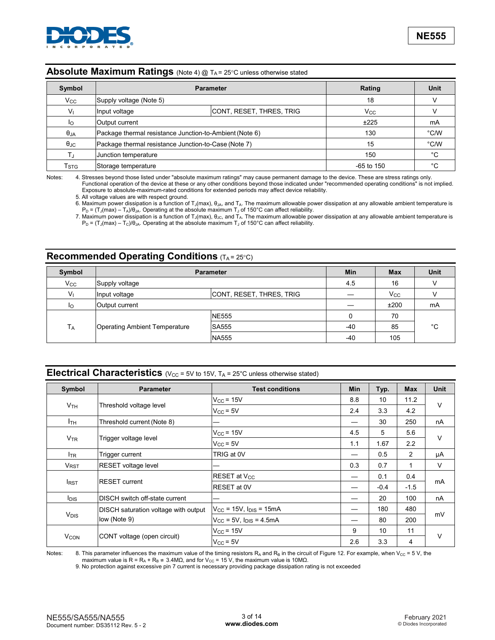

### **Absolute Maximum Ratings** (Note 4) @ T<sub>A</sub> = 25°C unless otherwise stated

| Symbol             | <b>Parameter</b>                                        | Rating                   | Unit         |               |
|--------------------|---------------------------------------------------------|--------------------------|--------------|---------------|
| $V_{\rm CC}$       | Supply voltage (Note 5)                                 |                          |              |               |
| V <sub>1</sub>     | Input voltage                                           | CONT, RESET, THRES, TRIG | $V_{\rm CC}$ |               |
| Ιo                 | Output current                                          |                          |              | mA            |
| $\theta_{JA}$      | Package thermal resistance Junction-to-Ambient (Note 6) |                          | 130          | $\degree$ C/W |
| $\theta_{\rm JC}$  | Package thermal resistance Junction-to-Case (Note 7)    |                          | 15           | $\degree$ C/W |
| T.i                | Junction temperature                                    |                          | 150          | °С            |
| $T_{\mathrm{STG}}$ | Storage temperature                                     |                          | $-65$ to 150 | °C            |

Notes: 4. Stresses beyond those listed under "absolute maximum ratings" may cause permanent damage to the device. These are stress ratings only. Functional operation of the device at these or any other conditions beyond those indicated under "recommended operating conditions" is not implied. Exposure to absolute-maximum-rated conditions for extended periods may affect device reliability.

5. All voltage values are with respect ground.

6. Maximum power dissipation is a function of T<sub>J</sub>(max),  $\theta_{JA}$ , and T<sub>A</sub>. The maximum allowable power dissipation at any allowable ambient temperature is  $P_D$  = (T<sub>J</sub>(max) – T<sub>A</sub>)/ $\theta_{JA}$ . Operating at the absolute maximum T<sub>J</sub> of 150°C can affect reliability.

7. Maximum power dissipation is a function of T $_{\rm J}$ (max),  $\theta_{\rm JC}$ , and T $_{\rm A}$ . The maximum allowable power dissipation at any allowable ambient temperature is  $P_D = (T_J(max) - T_C)/\theta_{JA}$ . Operating at the absolute maximum  $T_J$  of 150°C can affect reliability.

## **Recommended Operating Conditions** (TA = 25°C)

| Symbol         | <b>Parameter</b>                     | <b>Min</b>               | <b>Max</b> | Unit       |    |  |
|----------------|--------------------------------------|--------------------------|------------|------------|----|--|
| $V_{\rm CC}$   | Supply voltage                       |                          |            | 16         |    |  |
| V <sub>1</sub> | Input voltage                        | CONT, RESET, THRES, TRIG |            | <b>Vcc</b> |    |  |
| l <sub>O</sub> | Output current                       |                          |            | ±200       | mA |  |
|                |                                      | <b>NE555</b>             |            | 70         |    |  |
| <b>TA</b>      | <b>Operating Ambient Temperature</b> | <b>SA555</b>             | $-40$      | 85         | °C |  |
|                |                                      | <b>NA555</b>             | $-40$      | 105        |    |  |

## **Electrical Characteristics** (V<sub>CC</sub> = 5V to 15V, T<sub>A</sub> = 25°C unless otherwise stated)

| Symbol                 | <b>Parameter</b>                     | <b>Test conditions</b>                         | <b>Min</b> | Typ.   | <b>Max</b> | <b>Unit</b> |  |
|------------------------|--------------------------------------|------------------------------------------------|------------|--------|------------|-------------|--|
|                        |                                      | $V_{CC}$ = 15V                                 | 8.8        | 10     | 11.2       |             |  |
| V <sub>TH</sub>        | Threshold voltage level              | $V_{CC}$ = 5V                                  | 2.4        | 3.3    | 4.2        | $\vee$      |  |
| I <sub>TH</sub>        | Threshold current (Note 8)           |                                                |            | 30     | 250        | nA          |  |
|                        |                                      | $V_{CC}$ = 15V                                 | 45         | 5      | 5.6        |             |  |
| $V_{TR}$               | Trigger voltage level                | $V_{CC}$ = 5V                                  | 1.1        | 1.67   | 2.2        | $\vee$      |  |
| <b>I</b> TR            | Trigger current                      | TRIG at 0V                                     | —          | 0.5    | 2          | μA          |  |
| <b>V<sub>RST</sub></b> | RESET voltage level                  |                                                | 0.3        | 0.7    | 1          | V           |  |
|                        |                                      | RESET at V <sub>CC</sub>                       | —          | 0.1    | 0.4        |             |  |
| <b>I</b> RST           | <b>RESET current</b>                 | <b>RESET</b> at 0V                             |            | $-0.4$ | $-1.5$     | mA          |  |
| <b>I</b> DIS           | DISCH switch off-state current       |                                                |            | 20     | 100        | nA          |  |
|                        | DISCH saturation voltage with output | $V_{\text{CC}}$ = 15V, $I_{\text{DIS}}$ = 15mA |            | 180    | 480        |             |  |
| <b>V<sub>DIS</sub></b> | low (Note 9)                         | $V_{CC}$ = 5V, $I_{DIS}$ = 4.5mA               |            | 80     | 200        | mV          |  |
|                        |                                      | $V_{CC}$ = 15V                                 | 9          | 10     | 11         |             |  |
| <b>V<sub>CON</sub></b> | CONT voltage (open circuit)          | $V_{CC}$ = 5V                                  | 2.6        | 3.3    | 4          | $\vee$      |  |

Notes: 8. This parameter influences the maximum value of the timing resistors R<sub>A</sub> and R<sub>B</sub> in the circuit of Figure 12. For example, when V<sub>CC</sub> = 5 V, the maximum value is R = R<sub>A</sub> + R<sub>B</sub>  $\approx$  3.4MΩ, and for V<sub>CC</sub> = 15 V, the maximum value is 10MΩ.

9. No protection against excessive pin 7 current is necessary providing package dissipation rating is not exceeded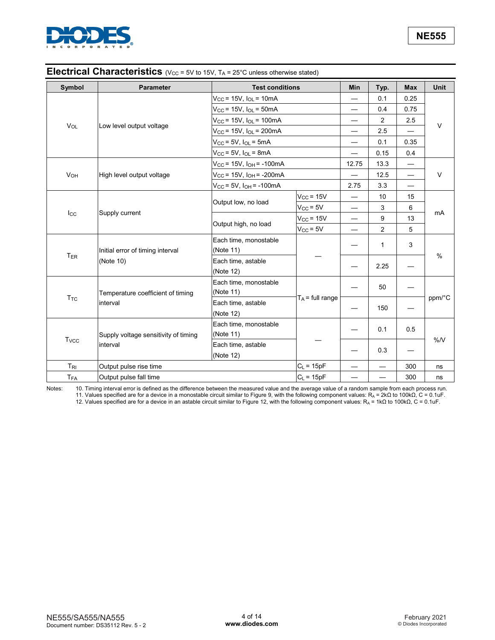

## **Electrical Characteristics** (V<sub>CC</sub> = 5V to 15V, T<sub>A</sub> = 25°C unless otherwise stated)

| Symbol                  | <b>Parameter</b>                                 | <b>Test conditions</b>                |                    | Min                      | Typ.                     | <b>Max</b>               | <b>Unit</b> |
|-------------------------|--------------------------------------------------|---------------------------------------|--------------------|--------------------------|--------------------------|--------------------------|-------------|
|                         |                                                  | $V_{CC}$ = 15V, $I_{OL}$ = 10mA       |                    |                          | 0.1                      | 0.25                     |             |
|                         |                                                  | $V_{CC}$ = 15V, $I_{OL}$ = 50mA       |                    |                          | 0.4                      | 0.75                     |             |
|                         |                                                  | $V_{CC}$ = 15V, $I_{OL}$ = 100mA      |                    | —                        | $\overline{2}$           | 2.5                      |             |
| <b>V<sub>OL</sub></b>   | Low level output voltage                         | $V_{CC}$ = 15V, $I_{OL}$ = 200mA      |                    | —                        | 2.5                      |                          | $\vee$      |
|                         |                                                  | $V_{CC}$ = 5V, $I_{OL}$ = 5mA         |                    | —                        | 0.1                      | 0.35                     |             |
|                         |                                                  | $V_{\rm CC}$ = 5V, $I_{\rm OL}$ = 8mA |                    |                          | 0.15                     | 0.4                      |             |
|                         |                                                  | $V_{CC}$ = 15V, $I_{OH}$ = -100mA     |                    | 12.75                    | 13.3                     | —                        |             |
| <b>V<sub>OH</sub></b>   | High level output voltage                        | $V_{CC}$ = 15V, $I_{OH}$ = -200mA     |                    |                          | 12.5                     | $\overline{\phantom{0}}$ | $\vee$      |
|                         |                                                  | $V_{CC}$ = 5V, $I_{OH}$ = -100mA      |                    | 2.75                     | 3.3                      | $\overline{\phantom{0}}$ |             |
|                         |                                                  |                                       | $V_{CC}$ = 15V     | —                        | 10                       | 15                       |             |
|                         | Supply current                                   | Output low, no load                   | $V_{CC}$ = 5V      |                          | 3                        | 6                        |             |
| $I_{\rm CC}$            |                                                  | Output high, no load                  | $V_{CC}$ = 15V     | $\overline{\phantom{0}}$ | 9                        | 13                       | mA          |
|                         |                                                  |                                       | $V_{CC}$ = 5V      | —                        | 2                        | 5                        |             |
|                         | Initial error of timing interval<br>(Note 10)    | Each time, monostable                 |                    |                          | 1                        | 3                        | %           |
| T <sub>ER</sub>         |                                                  | (Note 11)                             |                    |                          |                          |                          |             |
|                         |                                                  | Each time, astable                    |                    |                          | 2.25                     |                          |             |
|                         |                                                  | (Note 12)                             |                    |                          |                          |                          |             |
|                         |                                                  | Each time, monostable                 |                    |                          | 50                       |                          | ppm/°C      |
| <b>T</b> <sub>TC</sub>  | Temperature coefficient of timing<br>interval    | (Note 11)                             | $T_A$ = full range |                          |                          |                          |             |
|                         |                                                  | Each time, astable                    |                    | 150                      |                          |                          |             |
|                         |                                                  | (Note 12)                             |                    |                          |                          |                          |             |
| <b>T</b> <sub>vcc</sub> |                                                  | Each time, monostable                 |                    |                          | 0.1                      | 0.5                      |             |
|                         | Supply voltage sensitivity of timing<br>interval | (Note 11)                             |                    |                          |                          |                          | %N          |
|                         |                                                  | Each time, astable                    |                    |                          | 0.3                      |                          |             |
|                         |                                                  | (Note 12)                             |                    |                          |                          |                          |             |
| $T_{\rm RI}$            | Output pulse rise time                           |                                       | $C_L = 15pF$       |                          | $\overline{\phantom{0}}$ | 300                      | ns          |
| T <sub>FA</sub>         | Output pulse fall time                           |                                       | $C_L = 15pF$       | —                        |                          | 300                      | ns          |

Notes: 10. Timing interval error is defined as the difference between the measured value and the average value of a random sample from each process run. 11. Values specified are for a device in a monostable circuit similar to Figure 9, with the following component values: R<sub>A</sub> = 2kΩ to 100kΩ, C = 0.1uF.

12. Values specified are for a device in an astable circuit similar to Figure 12, with the following component values: R<sub>A</sub> = 1kΩ to 100kΩ, C = 0.1uF.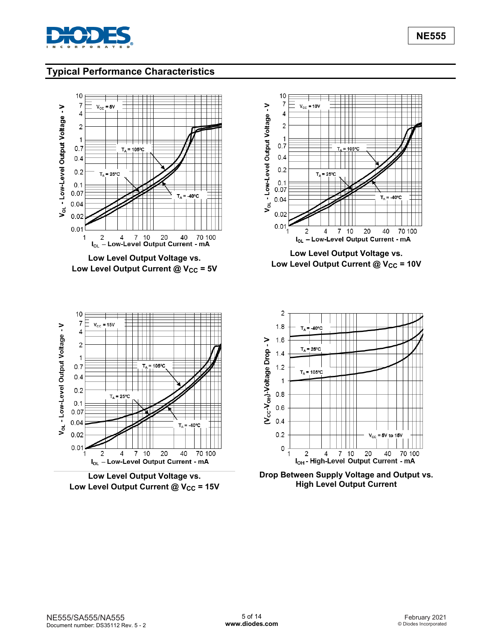

# **Typical Performance Characteristics**



Low Level Output Current @ V<sub>CC</sub> = 15V

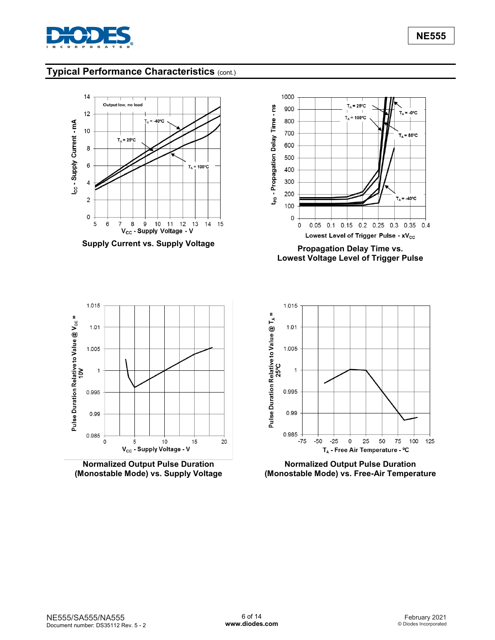

 $= -0$ <sup>o</sup>C

 $T_A = 85^{\circ}$ C

 $T_A = -40$ °C

0.1 0.15 0.2 0.25 0.3 0.35 0.4

 $T_{A}$ 

# **Typical Performance Characteristics** (cont.)



**Normalized Output Pulse Duration (Monostable Mode) vs. Supply Voltage**

V<sub>cc</sub> - Supply Voltage - V

 $10$ 

15

20

5



 $T_A = 25^{\circ}C$ 

 $T_A = 105^{\circ}C$ 

 $0.05$ 

**Normalized Output Pulse Duration (Monostable Mode) vs. Free-Air Temperature**

0.99

 $0.985 \ddot{\mathbf{0}}$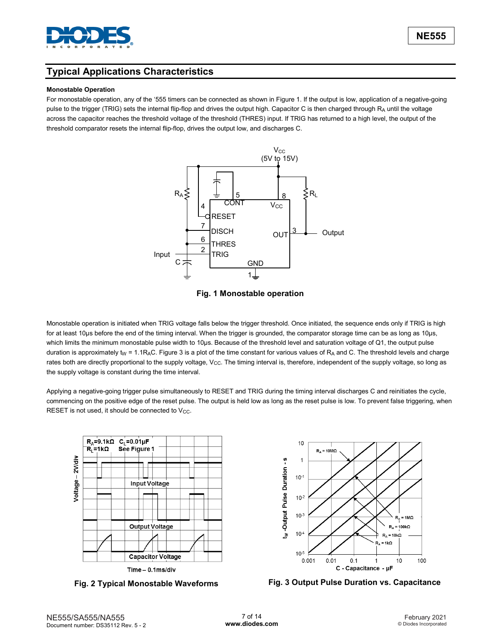

## **Typical Applications Characteristics**

#### **Monostable Operation**

For monostable operation, any of the '555 timers can be connected as shown in Figure 1. If the output is low, application of a negative-going pulse to the trigger (TRIG) sets the internal flip-flop and drives the output high. Capacitor C is then charged through R<sub>A</sub> until the voltage across the capacitor reaches the threshold voltage of the threshold (THRES) input. If TRIG has returned to a high level, the output of the threshold comparator resets the internal flip-flop, drives the output low, and discharges C.





Monostable operation is initiated when TRIG voltage falls below the trigger threshold. Once initiated, the sequence ends only if TRIG is high for at least 10μs before the end of the timing interval. When the trigger is grounded, the comparator storage time can be as long as 10μs, which limits the minimum monostable pulse width to 10μs. Because of the threshold level and saturation voltage of Q1, the output pulse duration is approximately t<sub>W</sub> = 1.1R<sub>A</sub>C. Figure 3 is a plot of the time constant for various values of R<sub>A</sub> and C. The threshold levels and charge rates both are directly proportional to the supply voltage, V<sub>CC</sub>. The timing interval is, therefore, independent of the supply voltage, so long as the supply voltage is constant during the time interval.

Applying a negative-going trigger pulse simultaneously to RESET and TRIG during the timing interval discharges C and reinitiates the cycle, commencing on the positive edge of the reset pulse. The output is held low as long as the reset pulse is low. To prevent false triggering, when RESET is not used, it should be connected to V<sub>CC</sub>.







**Fig. 2 Typical Monostable Waveforms Fig. 3 Output Pulse Duration vs. Capacitance**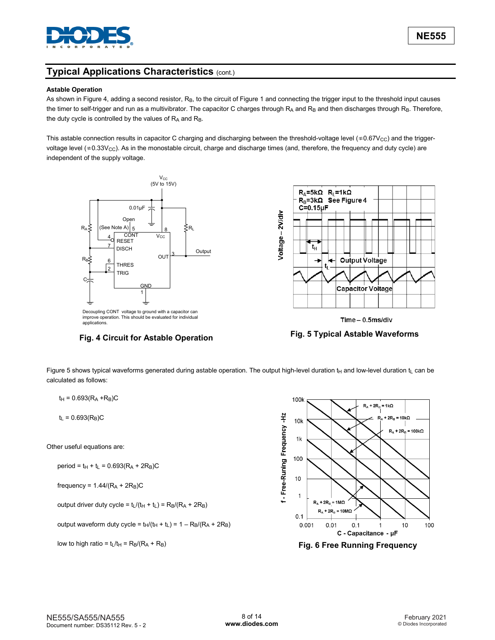

#### **Astable Operation**

As shown in Figure 4, adding a second resistor, R<sub>B</sub>, to the circuit of Figure 1 and connecting the trigger input to the threshold input causes the timer to self-trigger and run as a multivibrator. The capacitor C charges through  $R_A$  and  $R_B$  and then discharges through  $R_B$ . Therefore, the duty cycle is controlled by the values of  $R_A$  and  $R_B$ .

This astable connection results in capacitor C charging and discharging between the threshold-voltage level ( $*0.67V_{CC}$ ) and the triggervoltage level ( $*0.33V_{\rm CC}$ ). As in the monostable circuit, charge and discharge times (and, therefore, the frequency and duty cycle) are independent of the supply voltage.



applications.





Figure 5 shows typical waveforms generated during astable operation. The output high-level duration  $t_H$  and low-level duration  $t_L$  can be calculated as follows:

 $t_H = 0.693(R_A + R_B)C$ 

 $t_L = 0.693(R_B)C$ 

Other useful equations are:

 $period = t_H + t_L = 0.693(R_A + 2R_B)C$ 

frequency = 
$$
1.44/(R_A + 2R_B)C
$$

output driver duty cycle =  $t_L/(t_H + t_L) = R_B/(R_A + 2R_B)$ 

output waveform duty cycle =  $t_H/(t_H + t_L) = 1 - R_B/(R_A + 2R_B)$ 



low to high ratio =  $t_L/t_H$  =  $R_B/(R_A + R_B)$  **Fig. 6 Free Running Frequency**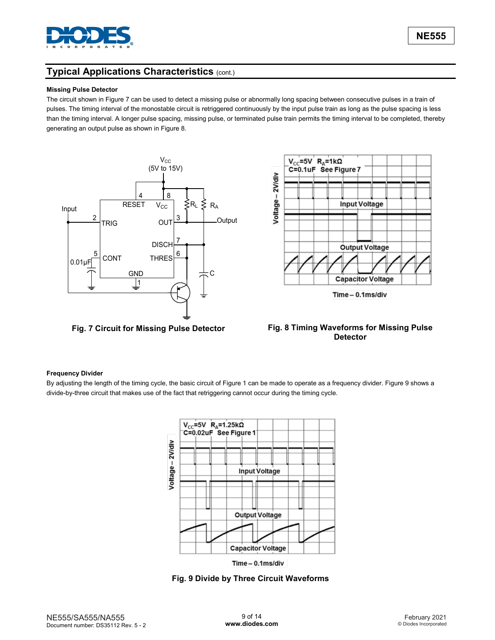

#### **Missing Pulse Detector**

The circuit shown in Figure 7 can be used to detect a missing pulse or abnormally long spacing between consecutive pulses in a train of pulses. The timing interval of the monostable circuit is retriggered continuously by the input pulse train as long as the pulse spacing is less than the timing interval. A longer pulse spacing, missing pulse, or terminated pulse train permits the timing interval to be completed, thereby generating an output pulse as shown in Figure 8.





#### **Fig. 7 Circuit for Missing Pulse Detector Fig. 8 Timing Waveforms for Missing Pulse Detector**

#### **Frequency Divider**

By adjusting the length of the timing cycle, the basic circuit of Figure 1 can be made to operate as a frequency divider. Figure 9 shows a divide-by-three circuit that makes use of the fact that retriggering cannot occur during the timing cycle.



**Fig. 9 Divide by Three Circuit Waveforms**

**NE555**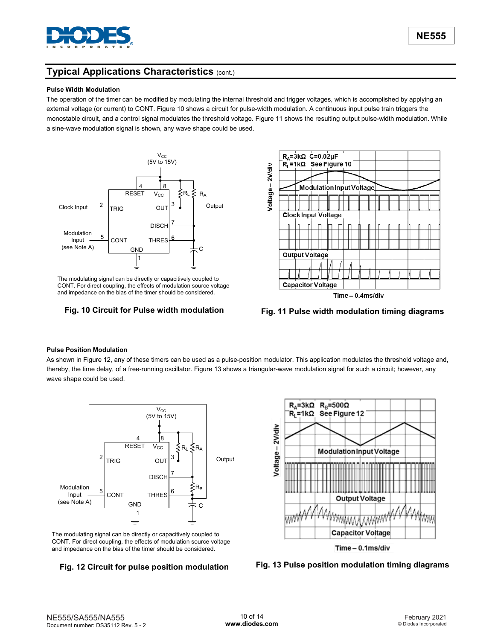

#### **Pulse Width Modulation**

The operation of the timer can be modified by modulating the internal threshold and trigger voltages, which is accomplished by applying an external voltage (or current) to CONT. Figure 10 shows a circuit for pulse-width modulation. A continuous input pulse train triggers the monostable circuit, and a control signal modulates the threshold voltage. Figure 11 shows the resulting output pulse-width modulation. While a sine-wave modulation signal is shown, any wave shape could be used.



The modulating signal can be directly or capacitively coupled to CONT. For direct coupling, the effects of modulation source voltage and impedance on the bias of the timer should be considered.



**Fig. 10 Circuit for Pulse width modulation Fig. 11 Pulse width modulation timing diagrams**

#### **Pulse Position Modulation**

As shown in Figure 12, any of these timers can be used as a pulse-position modulator. This application modulates the threshold voltage and, thereby, the time delay, of a free-running oscillator. Figure 13 shows a triangular-wave modulation signal for such a circuit; however, any wave shape could be used.



The modulating signal can be directly or capacitively coupled to CONT. For direct coupling, the effects of modulation source voltage and impedance on the bias of the timer should be considered.



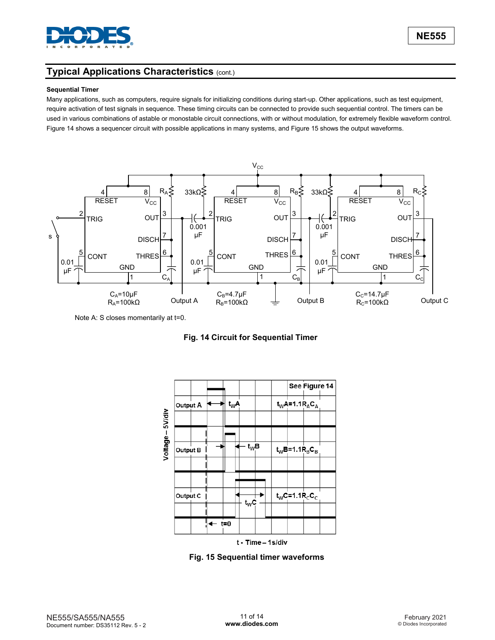

#### **Sequential Timer**

Many applications, such as computers, require signals for initializing conditions during start-up. Other applications, such as test equipment, require activation of test signals in sequence. These timing circuits can be connected to provide such sequential control. The timers can be used in various combinations of astable or monostable circuit connections, with or without modulation, for extremely flexible waveform control. Figure 14 shows a sequencer circuit with possible applications in many systems, and Figure 15 shows the output waveforms.



Note A: S closes momentarily at t=0.

**Fig. 14 Circuit for Sequential Timer**



**Fig. 15 Sequential timer waveforms**

**NE555**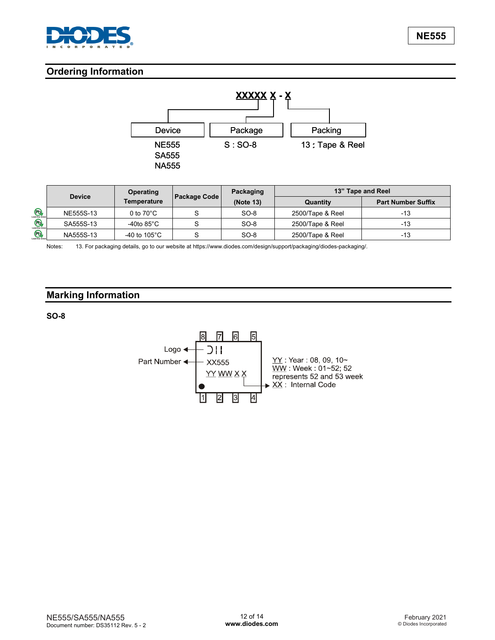

# **Ordering Information**



|                |               | <b>Operating</b>        | Packaging           |           | 13" Tape and Reel |                           |  |
|----------------|---------------|-------------------------|---------------------|-----------|-------------------|---------------------------|--|
|                | <b>Device</b> | Temperature             | <b>Package Code</b> | (Note 13) | Quantity          | <b>Part Number Suffix</b> |  |
| P <sub>b</sub> | NE555S-13     | 0 to $70^{\circ}$ C     |                     | $SO-8$    | 2500/Tape & Reel  | -13                       |  |
| Lead-free Gree | SA555S-13     | -40to 85 $^{\circ}$ C   |                     | $SO-8$    | 2500/Tape & Reel  | -13                       |  |
| <b>Pb</b>      | NA555S-13     | -40 to 105 $^{\circ}$ C |                     | $SO-8$    | 2500/Tape & Reel  | -13                       |  |

Notes: 13. For packaging details, go to our website at https://www.diodes.com/design/support/packaging/diodes-packaging/.

# **Marking Information**

**SO-8**

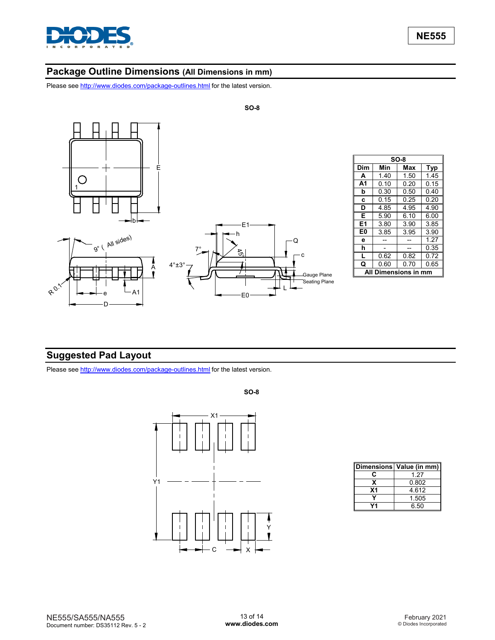

## **Package Outline Dimensions (All Dimensions in mm)**

Please see <http://www.diodes.com/package-outlines.html> for the latest version.



|     |                   | $SO-8$ |      |
|-----|-------------------|--------|------|
| Dim | Min               | Max    | Typ  |
| A   | 1.40              | 1.50   | 1.45 |
| A1  | 0.10              | 0.20   | 0.15 |
| b   | 0.30              | 0.50   | 0.40 |
| C   | 0.15              | 0.25   | 0.20 |
| D   | 4.85              | 4.95   | 4.90 |
| Е   | 5.90              | 6.10   | 6.00 |
| E1  | 3.80              | 3.90   | 3.85 |
| E0  | 3.85              | 3.95   | 3.90 |
| e   |                   |        | 1.27 |
| h   |                   |        | 0.35 |
| L   | 0.62              | 0.82   | 0.72 |
| Q   | 0.60              | 0.70   | 0.65 |
|     | <b>Dimensions</b> |        | mr   |

# **Suggested Pad Layout**

Please see <http://www.diodes.com/package-outlines.html> for the latest version.



|                | Dimensions   Value (in mm) |
|----------------|----------------------------|
| c              | 1 27                       |
| x              | 0.802                      |
| X <sub>1</sub> | 4612                       |
|                | 1.505                      |
|                | 6.50                       |

NE555/SA555/NA555 Document number: DS35112 Rev. 5 - 2